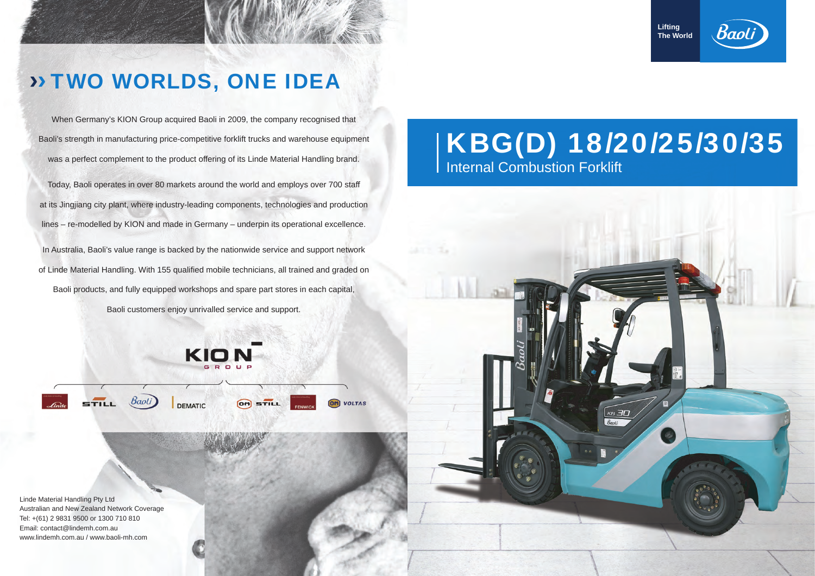## KBG(D) 18/20/25/30/35 Internal Combustion Forklift

When Germany's KION Group acquired Baoli in 2009, the company recognised that Baoli's strength in manufacturing price-competitive forklift trucks and warehouse equipment was a perfect complement to the product offering of its Linde Material Handling brand.

**Lifting The World**





## › › TWO WORLDS, ONE IDEA

Today, Baoli operates in over 80 markets around the world and employs over 700 sta ff at its Jingjiang city plant, where industry-leading components, technologies and production lines – re-modelled by KION and made in Germany – underpin its operational excellence.

In Australia, Baoli's value range is backed by the nationwide service and support network of Linde Material Handling. With 155 qualified mobile technicians, all trained and graded on Baoli products, and fully equipped workshops and spare part stores in each capital,

Baoli customers enjoy unrivalled service and support.



**VOLTAS** 

Linde Material Handling Pty Ltd Australian and New Zealand Network Coverage Tel: +(61) 2 9831 9500 or 1300 710 810 Email: contact@lindemh.com.au www.lindemh.com.au / www.baoli-mh.com